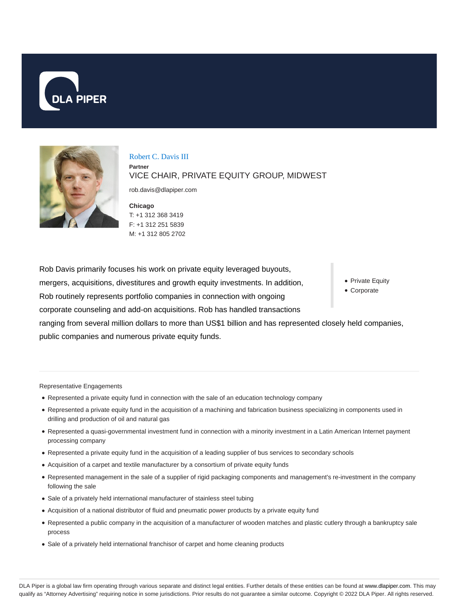



Robert C. Davis III **Partner** VICE CHAIR, PRIVATE EQUITY GROUP, MIDWEST

rob.davis@dlapiper.com

**Chicago** T: +1 312 368 3419 F: +1 312 251 5839 M: +1 312 805 2702

• Private Equity Corporate Rob Davis primarily focuses his work on private equity leveraged buyouts, mergers, acquisitions, divestitures and growth equity investments. In addition, Rob routinely represents portfolio companies in connection with ongoing corporate counseling and add-on acquisitions. Rob has handled transactions ranging from several million dollars to more than US\$1 billion and has represented closely held companies, public companies and numerous private equity funds.

Representative Engagements

- Represented a private equity fund in connection with the sale of an education technology company
- Represented a private equity fund in the acquisition of a machining and fabrication business specializing in components used in drilling and production of oil and natural gas
- Represented a quasi-governmental investment fund in connection with a minority investment in a Latin American Internet payment processing company
- Represented a private equity fund in the acquisition of a leading supplier of bus services to secondary schools
- Acquisition of a carpet and textile manufacturer by a consortium of private equity funds
- Represented management in the sale of a supplier of rigid packaging components and management's re-investment in the company following the sale
- Sale of a privately held international manufacturer of stainless steel tubing
- Acquisition of a national distributor of fluid and pneumatic power products by a private equity fund
- Represented a public company in the acquisition of a manufacturer of wooden matches and plastic cutlery through a bankruptcy sale process
- Sale of a privately held international franchisor of carpet and home cleaning products